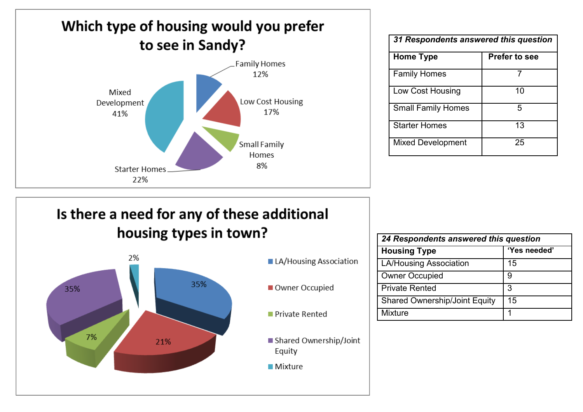

| 31 Respondents answered this question |                      |
|---------------------------------------|----------------------|
| Home Type                             | <b>Prefer to see</b> |
| <b>Family Homes</b>                   |                      |
| <b>Low Cost Housing</b>               | 10                   |
| <b>Small Family Homes</b>             | 5                    |
| <b>Starter Homes</b>                  | 13                   |
| <b>Mixed Development</b>              | 25                   |

### Is there a need for any of these additional housing types in town?



- LA/Housing Association
- Owner Occupied
- Private Rented
- Shared Ownership/Joint Equity
- **Mixture**

| 24 Respondents answered this question |              |  |
|---------------------------------------|--------------|--|
| <b>Housing Type</b>                   | 'Yes needed' |  |
| <b>LA/Housing Association</b>         | 15           |  |
| <b>Owner Occupied</b>                 | 9            |  |
| <b>Private Rented</b>                 | 3            |  |
| <b>Shared Ownership/Joint Equity</b>  | 15           |  |
| <b>Mixture</b>                        |              |  |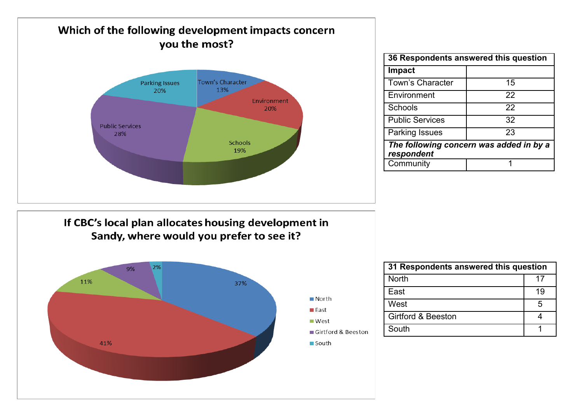

| 36 Respondents answered this question                 |    |
|-------------------------------------------------------|----|
| <b>Impact</b>                                         |    |
| <b>Town's Character</b>                               | 15 |
| Environment                                           | 22 |
| Schools                                               | 22 |
| <b>Public Services</b>                                | 32 |
| <b>Parking Issues</b>                                 | 23 |
| The following concern was added in by a<br>respondent |    |
| Community                                             |    |

If CBC's local plan allocates housing development in Sandy, where would you prefer to see it?



| 31 Respondents answered this question |    |
|---------------------------------------|----|
| <b>North</b>                          | 17 |
| Fast                                  | 19 |
| West                                  | .5 |
| <b>Girtford &amp; Beeston</b>         |    |
| South                                 |    |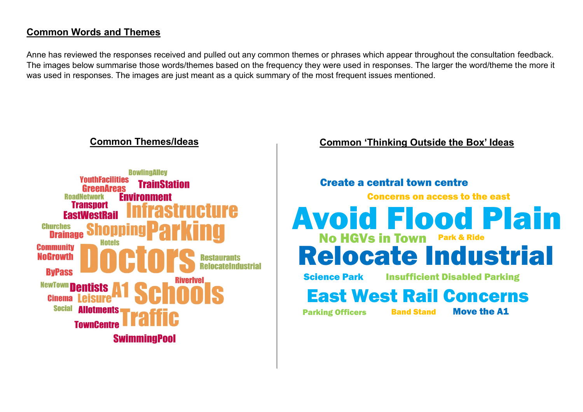### **Common Words and Themes**

Anne has reviewed the responses received and pulled out any common themes or phrases which appear throughout the consultation feedback. The images below summarise those words/themes based on the frequency they were used in responses. The larger the word/theme the more it was used in responses. The images are just meant as a quick summary of the most frequent issues mentioned.



### **Common Themes/Ideas Common 'Thinking Outside the Box' Ideas**

### Create a central town centre

Concerns on access to the east

# Avoid Flood Plain No HGVs in Town Park & Ride Relocate Industrial

Science Park

Insufficient Disabled Parking

# East West Rail Concerns

**Parking Officers Band Stand** 

Move the A1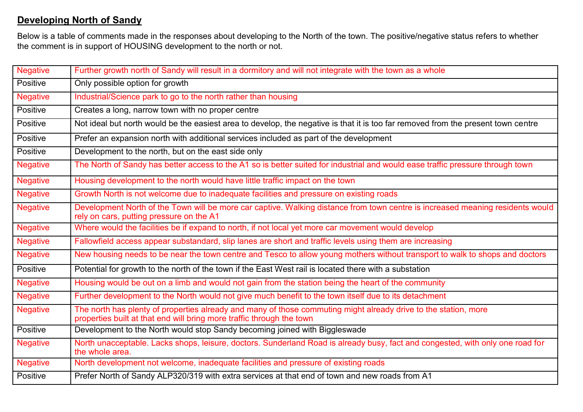### **Developing North of Sandy**

Below is a table of comments made in the responses about developing to the North of the town. The positive/negative status refers to whether the comment is in support of HOUSING development to the north or not.

| <b>Negative</b> | Further growth north of Sandy will result in a dormitory and will not integrate with the town as a whole                                                                                 |
|-----------------|------------------------------------------------------------------------------------------------------------------------------------------------------------------------------------------|
| Positive        | Only possible option for growth                                                                                                                                                          |
| <b>Negative</b> | Industrial/Science park to go to the north rather than housing                                                                                                                           |
| <b>Positive</b> | Creates a long, narrow town with no proper centre                                                                                                                                        |
| Positive        | Not ideal but north would be the easiest area to develop, the negative is that it is too far removed from the present town centre                                                        |
| Positive        | Prefer an expansion north with additional services included as part of the development                                                                                                   |
| Positive        | Development to the north, but on the east side only                                                                                                                                      |
| <b>Negative</b> | The North of Sandy has better access to the A1 so is better suited for industrial and would ease traffic pressure through town                                                           |
| <b>Negative</b> | Housing development to the north would have little traffic impact on the town                                                                                                            |
| <b>Negative</b> | Growth North is not welcome due to inadequate facilities and pressure on existing roads                                                                                                  |
| <b>Negative</b> | Development North of the Town will be more car captive. Walking distance from town centre is increased meaning residents would<br>rely on cars, putting pressure on the A1               |
| <b>Negative</b> | Where would the facilities be if expand to north, if not local yet more car movement would develop                                                                                       |
| <b>Negative</b> | Fallowfield access appear substandard, slip lanes are short and traffic levels using them are increasing                                                                                 |
| <b>Negative</b> | New housing needs to be near the town centre and Tesco to allow young mothers without transport to walk to shops and doctors                                                             |
| Positive        | Potential for growth to the north of the town if the East West rail is located there with a substation                                                                                   |
| <b>Negative</b> | Housing would be out on a limb and would not gain from the station being the heart of the community                                                                                      |
| <b>Negative</b> | Further development to the North would not give much benefit to the town itself due to its detachment                                                                                    |
| <b>Negative</b> | The north has plenty of properties already and many of those commuting might already drive to the station, more<br>properties built at that end will bring more traffic through the town |
| <b>Positive</b> | Development to the North would stop Sandy becoming joined with Biggleswade                                                                                                               |
| <b>Negative</b> | North unacceptable. Lacks shops, leisure, doctors. Sunderland Road is already busy, fact and congested, with only one road for<br>the whole area.                                        |
| <b>Negative</b> | North development not welcome, inadequate facilities and pressure of existing roads                                                                                                      |
| Positive        | Prefer North of Sandy ALP320/319 with extra services at that end of town and new roads from A1                                                                                           |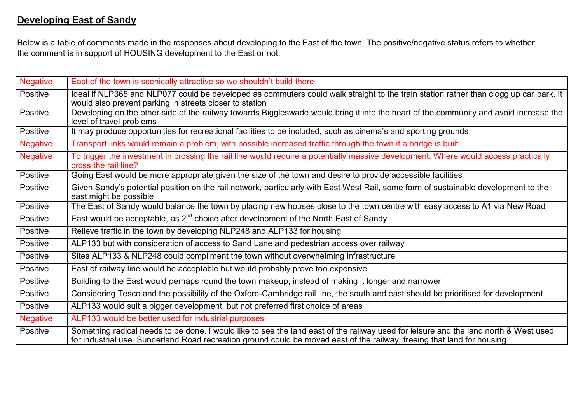### **Developing East of Sandy**

Below is a table of comments made in the responses about developing to the East of the town. The positive/negative status refers to whether the comment is in support of HOUSING development to the East or not.

| <b>Negative</b> | East of the town is scenically attractive so we shouldn't build there                                                                                                                                                                                           |
|-----------------|-----------------------------------------------------------------------------------------------------------------------------------------------------------------------------------------------------------------------------------------------------------------|
| Positive        | Ideal if NLP365 and NLP077 could be developed as commuters could walk straight to the train station rather than clogg up car park. It<br>would also prevent parking in streets closer to station                                                                |
| <b>Positive</b> | Developing on the other side of the railway towards Biggleswade would bring it into the heart of the community and avoid increase the<br>level of travel problems                                                                                               |
| Positive        | It may produce opportunities for recreational facilities to be included, such as cinema's and sporting grounds                                                                                                                                                  |
| <b>Negative</b> | Transport links would remain a problem, with possible increased traffic through the town if a bridge is built                                                                                                                                                   |
| <b>Negative</b> | To trigger the investment in crossing the rail line would require a potentially massive development. Where would access practically<br>cross the rail line?                                                                                                     |
| Positive        | Going East would be more appropriate given the size of the town and desire to provide accessible facilities                                                                                                                                                     |
| Positive        | Given Sandy's potential position on the rail network, particularly with East West Rail, some form of sustainable development to the<br>east might be possible                                                                                                   |
| Positive        | The East of Sandy would balance the town by placing new houses close to the town centre with easy access to A1 via New Road                                                                                                                                     |
| Positive        | East would be acceptable, as $2^{nd}$ choice after development of the North East of Sandy                                                                                                                                                                       |
| Positive        | Relieve traffic in the town by developing NLP248 and ALP133 for housing                                                                                                                                                                                         |
| Positive        | ALP133 but with consideration of access to Sand Lane and pedestrian access over railway                                                                                                                                                                         |
| <b>Positive</b> | Sites ALP133 & NLP248 could compliment the town without overwhelming infrastructure                                                                                                                                                                             |
| Positive        | East of railway line would be acceptable but would probably prove too expensive                                                                                                                                                                                 |
| Positive        | Building to the East would perhaps round the town makeup, instead of making it longer and narrower                                                                                                                                                              |
| Positive        | Considering Tesco and the possibility of the Oxford-Cambridge rail line, the south and east should be prioritised for development                                                                                                                               |
| Positive        | ALP133 would suit a bigger development, but not preferred first choice of areas                                                                                                                                                                                 |
| <b>Negative</b> | ALP133 would be better used for industrial purposes                                                                                                                                                                                                             |
| Positive        | Something radical needs to be done. I would like to see the land east of the railway used for leisure and the land north & West used<br>for industrial use. Sunderland Road recreation ground could be moved east of the railway, freeing that land for housing |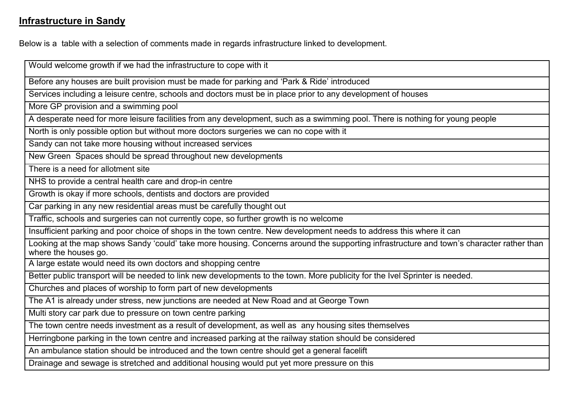### **Infrastructure in Sandy**

Below is a table with a selection of comments made in regards infrastructure linked to development.

Would welcome growth if we had the infrastructure to cope with it Before any houses are built provision must be made for parking and 'Park & Ride' introduced Services including a leisure centre, schools and doctors must be in place prior to any development of houses More GP provision and a swimming pool A desperate need for more leisure facilities from any development, such as a swimming pool. There is nothing for young people North is only possible option but without more doctors surgeries we can no cope with it Sandy can not take more housing without increased services New Green Spaces should be spread throughout new developments There is a need for allotment site NHS to provide a central health care and drop-in centre Growth is okay if more schools, dentists and doctors are provided Car parking in any new residential areas must be carefully thought out Traffic, schools and surgeries can not currently cope, so further growth is no welcome Insufficient parking and poor choice of shops in the town centre. New development needs to address this where it can Looking at the map shows Sandy 'could' take more housing. Concerns around the supporting infrastructure and town's character rather than where the houses go. A large estate would need its own doctors and shopping centre Better public transport will be needed to link new developments to the town. More publicity for the Ivel Sprinter is needed. Churches and places of worship to form part of new developments The A1 is already under stress, new junctions are needed at New Road and at George Town Multi story car park due to pressure on town centre parking The town centre needs investment as a result of development, as well as any housing sites themselves Herringbone parking in the town centre and increased parking at the railway station should be considered An ambulance station should be introduced and the town centre should get a general facelift Drainage and sewage is stretched and additional housing would put yet more pressure on this